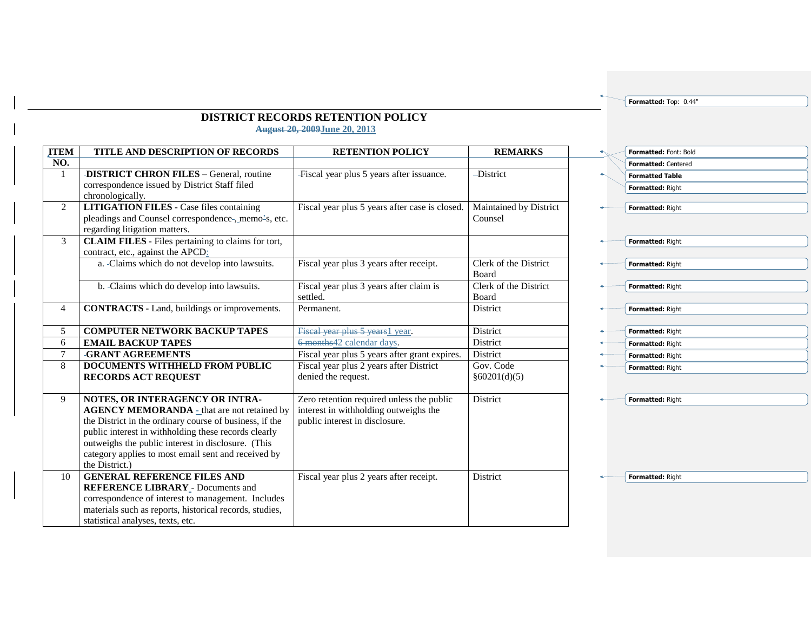**Formatted:** Top: 0.44"

## **DISTRICT RECORDS RETENTION POLICY August 20, 2009June 20, 2013**

| <b>ITEM</b>    | TITLE AND DESCRIPTION OF RECORDS                                                                                                                                                                                                                                                                                                        | <b>RETENTION POLICY</b>                                                                                              | <b>REMARKS</b>                        |
|----------------|-----------------------------------------------------------------------------------------------------------------------------------------------------------------------------------------------------------------------------------------------------------------------------------------------------------------------------------------|----------------------------------------------------------------------------------------------------------------------|---------------------------------------|
| NO.            |                                                                                                                                                                                                                                                                                                                                         |                                                                                                                      |                                       |
| 1              | -DISTRICT CHRON FILES - General, routine<br>correspondence issued by District Staff filed<br>chronologically.                                                                                                                                                                                                                           | -Fiscal year plus 5 years after issuance.                                                                            | -District                             |
| $\overline{2}$ | <b>LITIGATION FILES</b> - Case files containing<br>pleadings and Counsel correspondence-, memo-s, etc.<br>regarding litigation matters.                                                                                                                                                                                                 | Fiscal year plus 5 years after case is closed.                                                                       | Maintained by District<br>Counsel     |
| $\mathbf{3}$   | <b>CLAIM FILES</b> - Files pertaining to claims for tort,<br>contract, etc., against the APCD:                                                                                                                                                                                                                                          |                                                                                                                      |                                       |
|                | a. -Claims which do not develop into lawsuits.                                                                                                                                                                                                                                                                                          | Fiscal year plus 3 years after receipt.                                                                              | Clerk of the District<br><b>Board</b> |
|                | b. -Claims which do develop into lawsuits.                                                                                                                                                                                                                                                                                              | Fiscal year plus 3 years after claim is<br>settled.                                                                  | Clerk of the District<br>Board        |
| $\overline{4}$ | <b>CONTRACTS</b> - Land, buildings or improvements.                                                                                                                                                                                                                                                                                     | Permanent.                                                                                                           | District                              |
| 5              | <b>COMPUTER NETWORK BACKUP TAPES</b>                                                                                                                                                                                                                                                                                                    | Fiscal year plus 5 years 1 year.                                                                                     | <b>District</b>                       |
| 6              | <b>EMAIL BACKUP TAPES</b>                                                                                                                                                                                                                                                                                                               | 6-months42 calendar days.                                                                                            | District                              |
| 7              | -GRANT AGREEMENTS                                                                                                                                                                                                                                                                                                                       | Fiscal year plus 5 years after grant expires.                                                                        | District                              |
| 8              | <b>DOCUMENTS WITHHELD FROM PUBLIC</b><br><b>RECORDS ACT REQUEST</b>                                                                                                                                                                                                                                                                     | Fiscal year plus 2 years after District<br>denied the request.                                                       | Gov. Code<br>§60201(d)(5)             |
| 9              | NOTES, OR INTERAGENCY OR INTRA-<br><b>AGENCY MEMORANDA</b> - that are not retained by<br>the District in the ordinary course of business, if the<br>public interest in withholding these records clearly<br>outweighs the public interest in disclosure. (This<br>category applies to most email sent and received by<br>the District.) | Zero retention required unless the public<br>interest in withholding outweighs the<br>public interest in disclosure. | District                              |
| 10             | <b>GENERAL REFERENCE FILES AND</b><br><b>REFERENCE LIBRARY - Documents and</b><br>correspondence of interest to management. Includes<br>materials such as reports, historical records, studies,<br>statistical analyses, texts, etc.                                                                                                    | Fiscal year plus 2 years after receipt.                                                                              | <b>District</b>                       |

| Formatted: Font: Bold  |
|------------------------|
| Formatted: Centered    |
| <b>Formatted Table</b> |
| Formatted: Right       |
|                        |
| Formatted: Right       |
|                        |
| Formatted: Right       |
|                        |
| Formatted: Right       |
|                        |
| Formatted: Right       |
|                        |
| Formatted: Right       |
| Formatted: Right       |
| Formatted: Right       |
| Formatted: Right       |
| Formatted: Right       |
|                        |
|                        |
| Formatted: Right       |

**Formatted:** Right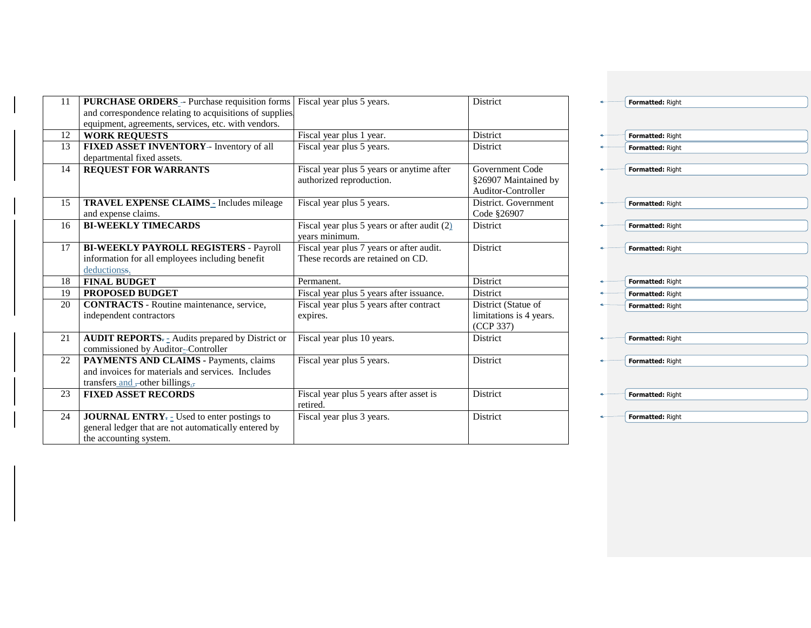| 11 | <b>PURCHASE ORDERS</b> - Purchase requisition forms<br>and correspondence relating to acquisitions of supplies                                             | Fiscal year plus 5 years.                                                     | <b>District</b>                                               |
|----|------------------------------------------------------------------------------------------------------------------------------------------------------------|-------------------------------------------------------------------------------|---------------------------------------------------------------|
|    | equipment, agreements, services, etc. with vendors.                                                                                                        |                                                                               |                                                               |
| 12 | <b>WORK REQUESTS</b>                                                                                                                                       | Fiscal year plus 1 year.                                                      | <b>District</b>                                               |
| 13 | FIXED ASSET INVENTORY- Inventory of all<br>departmental fixed assets.                                                                                      | Fiscal year plus 5 years.                                                     | <b>District</b>                                               |
| 14 | <b>REQUEST FOR WARRANTS</b>                                                                                                                                | Fiscal year plus 5 years or anytime after<br>authorized reproduction.         | Government Code<br>§26907 Maintained by<br>Auditor-Controller |
| 15 | TRAVEL EXPENSE CLAIMS - Includes mileage<br>and expense claims.                                                                                            | Fiscal year plus 5 years.                                                     | District. Government<br>Code §26907                           |
| 16 | <b>BI-WEEKLY TIMECARDS</b>                                                                                                                                 | Fiscal year plus 5 years or after audit $(2)$<br>vears minimum.               | <b>District</b>                                               |
| 17 | <b>BI-WEEKLY PAYROLL REGISTERS - Payroll</b><br>information for all employees including benefit<br>deductionss.                                            | Fiscal year plus 7 years or after audit.<br>These records are retained on CD. | <b>District</b>                                               |
| 18 | <b>FINAL BUDGET</b>                                                                                                                                        | Permanent.                                                                    | <b>District</b>                                               |
| 19 | PROPOSED BUDGET                                                                                                                                            | Fiscal year plus 5 years after issuance.                                      | District                                                      |
| 20 | <b>CONTRACTS</b> - Routine maintenance, service,<br>independent contractors                                                                                | Fiscal year plus 5 years after contract<br>expires.                           | District (Statue of<br>limitations is 4 years.<br>(CCP 337)   |
| 21 | <b>AUDIT REPORTS</b> $=$ Audits prepared by District or<br>commissioned by Auditor-Controller                                                              | Fiscal year plus 10 years.                                                    | <b>District</b>                                               |
| 22 | PAYMENTS AND CLAIMS - Payments, claims<br>and invoices for materials and services. Includes<br>transfers and -other billings.                              | Fiscal year plus 5 years.                                                     | District                                                      |
| 23 | <b>FIXED ASSET RECORDS</b>                                                                                                                                 | Fiscal year plus 5 years after asset is<br>retired.                           | District                                                      |
| 24 | <b>JOURNAL ENTRY</b> <sub><math>=</math></sub> Used to enter postings to<br>general ledger that are not automatically entered by<br>the accounting system. | Fiscal year plus 3 years.                                                     | District                                                      |

| Formatted: Right |
|------------------|
|                  |
|                  |
| Formatted: Right |
| Formatted: Right |
|                  |
| Formatted: Right |
|                  |
|                  |
| Formatted: Right |
|                  |
| Formatted: Right |
|                  |
| Formatted: Right |
|                  |
|                  |
| Formatted: Right |
| Formatted: Right |
| Formatted: Right |
|                  |
|                  |
| Formatted: Right |
|                  |
| Formatted: Right |
|                  |
|                  |
| Formatted: Right |
|                  |
| Formatted: Right |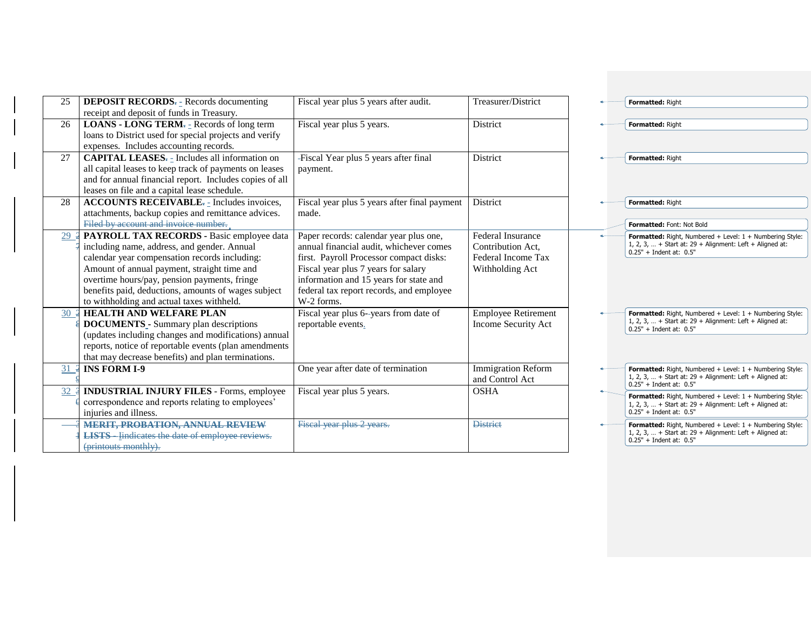| 25 | <b>DEPOSIT RECORDS</b> <sub>7</sub> Records documenting<br>receipt and deposit of funds in Treasury.                                                                                                                                                                                                                                         | Fiscal year plus 5 years after audit.                                                                                                                                                                                                                                   | Treasurer/District                                                                     | Formatted: Right                                                                                                                                               |
|----|----------------------------------------------------------------------------------------------------------------------------------------------------------------------------------------------------------------------------------------------------------------------------------------------------------------------------------------------|-------------------------------------------------------------------------------------------------------------------------------------------------------------------------------------------------------------------------------------------------------------------------|----------------------------------------------------------------------------------------|----------------------------------------------------------------------------------------------------------------------------------------------------------------|
| 26 | <b>LOANS - LONG TERM</b> <sub><math>\tau</math></sub> = Records of long term<br>loans to District used for special projects and verify<br>expenses. Includes accounting records.                                                                                                                                                             | Fiscal year plus 5 years.                                                                                                                                                                                                                                               | District                                                                               | Formatted: Right                                                                                                                                               |
| 27 | <b>CAPITAL LEASES</b> <sub>" -</sub> Includes all information on<br>all capital leases to keep track of payments on leases<br>and for annual financial report. Includes copies of all<br>leases on file and a capital lease schedule.                                                                                                        | -Fiscal Year plus 5 years after final<br>payment.                                                                                                                                                                                                                       | District                                                                               | Formatted: Right                                                                                                                                               |
| 28 | ACCOUNTS RECEIVABLE <sub><math>\overline{z}</math></sub> Includes invoices,<br>attachments, backup copies and remittance advices.<br>Filed by account and invoice number.                                                                                                                                                                    | Fiscal year plus 5 years after final payment<br>made.                                                                                                                                                                                                                   | <b>District</b>                                                                        | Formatted: Right<br>Formatted: Font: Not Bold                                                                                                                  |
| 29 | PAYROLL TAX RECORDS - Basic employee data<br>including name, address, and gender. Annual<br>calendar year compensation records including:<br>Amount of annual payment, straight time and<br>overtime hours/pay, pension payments, fringe<br>benefits paid, deductions, amounts of wages subject<br>to withholding and actual taxes withheld. | Paper records: calendar year plus one,<br>annual financial audit, whichever comes<br>first. Payroll Processor compact disks:<br>Fiscal year plus 7 years for salary<br>information and 15 years for state and<br>federal tax report records, and employee<br>W-2 forms. | <b>Federal Insurance</b><br>Contribution Act,<br>Federal Income Tax<br>Withholding Act | <b>Formatted:</b> Right, Numbered + Level: $1 +$ Numbering Style:<br>1, 2, 3,  + Start at: $29 +$ Alignment: Left + Aligned at:<br>$0.25"$ + Indent at: $0.5"$ |
| 30 | <b>HEALTH AND WELFARE PLAN</b><br><b>DOCUMENTS</b> - Summary plan descriptions<br>(updates including changes and modifications) annual<br>reports, notice of reportable events (plan amendments<br>that may decrease benefits) and plan terminations.                                                                                        | Fiscal year plus 6-years from date of<br>reportable events.                                                                                                                                                                                                             | <b>Employee Retirement</b><br><b>Income Security Act</b>                               | <b>Formatted:</b> Right, Numbered + Level: $1 +$ Numbering Style:<br>1, 2, 3,  + Start at: $29 +$ Alignment: Left + Aligned at:<br>$0.25"$ + Indent at: $0.5"$ |
| 31 | <b>INS FORM I-9</b>                                                                                                                                                                                                                                                                                                                          | One year after date of termination                                                                                                                                                                                                                                      | <b>Immigration Reform</b><br>and Control Act                                           | <b>Formatted:</b> Right, Numbered + Level: $1 +$ Numbering Style:<br>1, 2, 3,  + Start at: $29 +$ Alignment: Left + Aligned at:<br>$0.25"$ + Indent at: $0.5"$ |
| 32 | <b>INDUSTRIAL INJURY FILES - Forms, employee</b><br>correspondence and reports relating to employees'<br>injuries and illness.                                                                                                                                                                                                               | Fiscal year plus 5 years.                                                                                                                                                                                                                                               | <b>OSHA</b>                                                                            | Formatted: Right, Numbered + Level: 1 + Numbering Style:<br>1, 2, 3,  + Start at: $29$ + Alignment: Left + Aligned at:<br>$0.25" + Indent at: 0.5"$            |
|    | <b>MERIT, PROBATION, ANNUAL REVIEW</b><br><b>LISTS</b> - lindicates the date of employee reviews.<br>(printouts monthly).                                                                                                                                                                                                                    | Fiscal year plus 2 years.                                                                                                                                                                                                                                               | <b>District</b>                                                                        | <b>Formatted:</b> Right, Numbered + Level: $1 +$ Numbering Style:<br>1, 2, 3,  + Start at: $29 +$ Alignment: Left + Aligned at:<br>$0.25"$ + Indent at: $0.5"$ |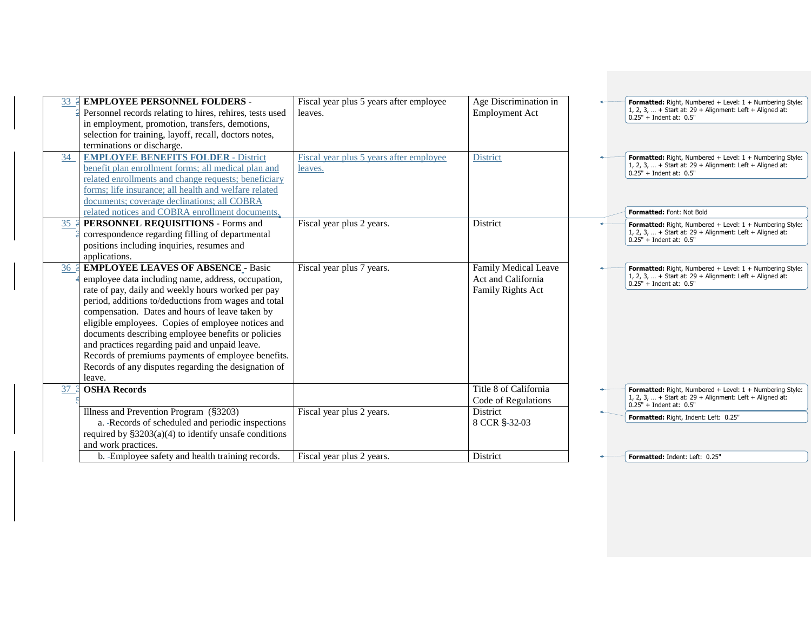| 33 | <b>EMPLOYEE PERSONNEL FOLDERS -</b><br>Personnel records relating to hires, rehires, tests used<br>in employment, promotion, transfers, demotions,<br>selection for training, layoff, recall, doctors notes,<br>terminations or discharge.                                                                                                                                                                                                                                                                                                             | Fiscal year plus 5 years after employee<br>leaves. | Age Discrimination in<br><b>Employment Act</b>                         | Formatted: Right, Numbered + Level: 1 + Numbering Style:<br>1, 2, 3,  + Start at: $29 +$ Alignment: Left + Aligned at:<br>$0.25" + Indent at: 0.5"$                              |
|----|--------------------------------------------------------------------------------------------------------------------------------------------------------------------------------------------------------------------------------------------------------------------------------------------------------------------------------------------------------------------------------------------------------------------------------------------------------------------------------------------------------------------------------------------------------|----------------------------------------------------|------------------------------------------------------------------------|----------------------------------------------------------------------------------------------------------------------------------------------------------------------------------|
| 34 | <b>EMPLOYEE BENEFITS FOLDER - District</b><br>benefit plan enrollment forms; all medical plan and<br>related enrollments and change requests; beneficiary<br>forms: life insurance: all health and welfare related<br>documents; coverage declinations; all COBRA<br>related notices and COBRA enrollment documents.                                                                                                                                                                                                                                   | Fiscal year plus 5 years after employee<br>leaves. | <b>District</b>                                                        | Formatted: Right, Numbered + Level: 1 + Numbering Style:<br>1, 2, 3,  + Start at: $29 +$ Alignment: Left + Aligned at:<br>$0.25" + Indent at: 0.5"$<br>Formatted: Font: Not Bold |
| 35 | PERSONNEL REQUISITIONS - Forms and<br>correspondence regarding filling of departmental<br>positions including inquiries, resumes and<br>applications.                                                                                                                                                                                                                                                                                                                                                                                                  | Fiscal year plus 2 years.                          | District                                                               | Formatted: Right, Numbered + Level: 1 + Numbering Style:<br>1, 2, 3,  + Start at: $29 +$ Alignment: Left + Aligned at:<br>$0.25"$ + Indent at: $0.5"$                            |
| 36 | <b>EMPLOYEE LEAVES OF ABSENCE - Basic</b><br>employee data including name, address, occupation,<br>rate of pay, daily and weekly hours worked per pay<br>period, additions to/deductions from wages and total<br>compensation. Dates and hours of leave taken by<br>eligible employees. Copies of employee notices and<br>documents describing employee benefits or policies<br>and practices regarding paid and unpaid leave.<br>Records of premiums payments of employee benefits.<br>Records of any disputes regarding the designation of<br>leave. | Fiscal year plus 7 years.                          | <b>Family Medical Leave</b><br>Act and California<br>Family Rights Act | Formatted: Right, Numbered + Level: 1 + Numbering Style:<br>1, 2, 3,  + Start at: $29 +$ Alignment: Left + Aligned at:<br>$0.25" + Indent at: 0.5"$                              |
| 37 | <b>OSHA Records</b>                                                                                                                                                                                                                                                                                                                                                                                                                                                                                                                                    |                                                    | Title 8 of California<br>Code of Regulations                           | Formatted: Right, Numbered + Level: 1 + Numbering Style:<br>1, 2, 3,  + Start at: $29 +$ Alignment: Left + Aligned at:<br>$0.25" + Indent at: 0.5"$                              |
|    | Illness and Prevention Program (§3203)<br>a. -Records of scheduled and periodic inspections<br>required by $\S3203(a)(4)$ to identify unsafe conditions<br>and work practices.                                                                                                                                                                                                                                                                                                                                                                         | Fiscal year plus 2 years.                          | District<br>8 CCR §-32-03                                              | Formatted: Right, Indent: Left: 0.25"                                                                                                                                            |
|    | b. -Employee safety and health training records.                                                                                                                                                                                                                                                                                                                                                                                                                                                                                                       | Fiscal year plus 2 years.                          | District                                                               | Formatted: Indent: Left: 0.25"                                                                                                                                                   |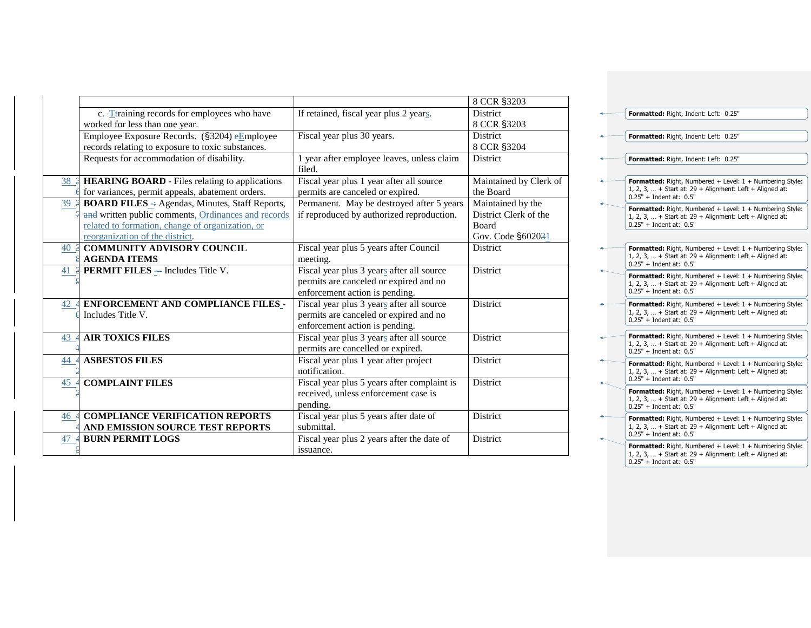|                                                            |                                                      | 8 CCR §3203            |
|------------------------------------------------------------|------------------------------------------------------|------------------------|
| c. -Ttraining records for employees who have               | If retained, fiscal year plus 2 years.               | <b>District</b>        |
| worked for less than one year.                             |                                                      | 8 CCR §3203            |
| Employee Exposure Records. (§3204) eEmployee               | Fiscal year plus 30 years.                           | District               |
| records relating to exposure to toxic substances.          |                                                      | 8 CCR §3204            |
| Requests for accommodation of disability.                  | 1 year after employee leaves, unless claim<br>filed. | <b>District</b>        |
| 38 4 HEARING BOARD - Files relating to applications        | Fiscal year plus 1 year after all source             | Maintained by Clerk of |
| for variances, permit appeals, abatement orders.           | permits are canceled or expired.                     | the Board              |
| 39 3 BOARD FILES -: Agendas, Minutes, Staff Reports,       | Permanent. May be destroyed after 5 years            | Maintained by the      |
| and written public comments, Ordinances and records        | if reproduced by authorized reproduction.            | District Clerk of the  |
| related to formation, change of organization, or           |                                                      | <b>Board</b>           |
| reorganization of the district.                            |                                                      | Gov. Code §602031      |
| 40 4 COMMUNITY ADVISORY COUNCIL                            | Fiscal year plus 5 years after Council               | District               |
| <b>AGENDA ITEMS</b>                                        | meeting.                                             |                        |
| $\underline{41}$ <b>3 PERMIT FILES</b> - Includes Title V. | Fiscal year plus 3 years after all source            | <b>District</b>        |
|                                                            | permits are canceled or expired and no               |                        |
|                                                            | enforcement action is pending.                       |                        |
| 42 4 ENFORCEMENT AND COMPLIANCE FILES_-                    | Fiscal year plus 3 years after all source            | District               |
| Includes Title V.                                          | permits are canceled or expired and no               |                        |
|                                                            | enforcement action is pending.                       |                        |
| <b>AIR TOXICS FILES</b><br>43                              | Fiscal year plus 3 years after all source            | <b>District</b>        |
|                                                            | permits are cancelled or expired.                    |                        |
| <b>ASBESTOS FILES</b><br>44                                | Fiscal year plus 1 year after project                | <b>District</b>        |
|                                                            | notification.                                        |                        |
| <b>COMPLAINT FILES</b><br>45                               | Fiscal year plus 5 years after complaint is          | District               |
|                                                            | received, unless enforcement case is                 |                        |
|                                                            | pending.                                             |                        |
| <b>COMPLIANCE VERIFICATION REPORTS</b><br>46               | Fiscal year plus 5 years after date of               | District               |
| AND EMISSION SOURCE TEST REPORTS                           | submittal.                                           |                        |
| <b>BURN PERMIT LOGS</b><br>47                              | Fiscal year plus 2 years after the date of           | <b>District</b>        |
|                                                            | issuance.                                            |                        |
|                                                            |                                                      |                        |

| Formatted: Right, Indent: Left: 0.25"                                                                                                                            |
|------------------------------------------------------------------------------------------------------------------------------------------------------------------|
|                                                                                                                                                                  |
| <b>Formatted:</b> Right, Indent: Left: 0.25"                                                                                                                     |
| Formatted: Right, Indent: Left: 0.25"                                                                                                                            |
|                                                                                                                                                                  |
| <b>Formatted:</b> Right, Numbered + Level: $1 +$ Numbering Style:<br>1, 2, 3,  + Start at: $29 +$ Alignment: Left + Aligned at:<br>$0.25"$ + Indent at: $0.5"$   |
| Formatted: Right, Numbered + Level: $1 +$ Numbering Style:<br>1, 2, 3,  + Start at: $29 +$ Alignment: Left + Aligned at:<br>$0.25" + Indent at: 0.5"$            |
|                                                                                                                                                                  |
| Formatted: Right, Numbered + Level: 1 + Numbering Style:<br>1, 2, 3,  + Start at: $29 +$ Alignment: Left + Aligned at:<br>$0.25" + Indent at: 0.5"$              |
| Formatted: Right, Numbered + Level: $1 +$ Numbering Style:<br>1, 2, 3,  + Start at: $29 +$ Alignment: Left + Aligned at:<br>$0.25" + Indent at: 0.5"$            |
| <b>Formatted:</b> Right, Numbered + Level: $1 +$ Numbering Style:<br>1, 2, 3,  + Start at: $29 +$ Alignment: Left + Aligned at:<br>$0.25"$ + Indent at: $0.5"$   |
| <b>Formatted:</b> Right, Numbered + Level: $1 +$ Numbering Style:<br>1, 2, 3,  + Start at: $29 +$ Alignment: Left + Aligned at:<br>$0.25" + Indent at: 0.5"$     |
| Formatted: Right, Numbered + Level: $1 +$ Numbering Style:<br>1, 2, 3,  + Start at: $29 +$ Alignment: Left + Aligned at:<br>$0.25" + Indent at: 0.5"$            |
| <b>Formatted:</b> Right, Numbered $+$ Level: $1 +$ Numbering Style:<br>1, 2, 3,  + Start at: $29 +$ Alignment: Left + Aligned at:<br>$0.25"$ + Indent at: $0.5"$ |
| <b>Formatted:</b> Right, Numbered + Level: $1 +$ Numbering Style:<br>1, 2, 3,  + Start at: $29 +$ Alignment: Left + Aligned at:<br>$0.25" + Indent at: 0.5"$     |
| Formatted: Right, Numbered + Level: 1 + Numbering Style:<br>1, 2, 3,  + Start at: $29 +$ Alignment: Left + Aligned at:<br>$0.25" + Indent at: 0.5"$              |